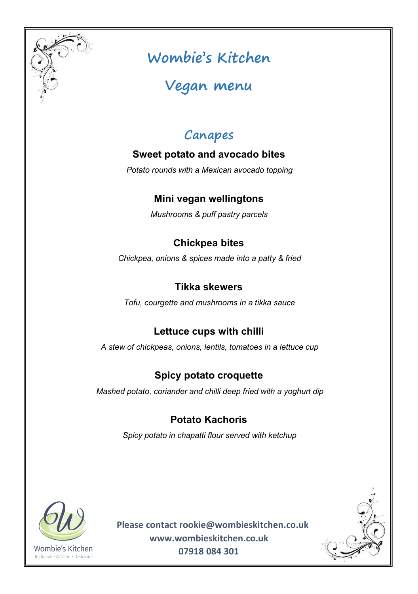

# **Wombie's Kitchen**

# **Vegan menu**

# **Canapes**

### **Sweet potato and avocado bites**

*Potato rounds with a Mexican avocado topping*

### **Mini vegan wellingtons**

*Mushrooms & puff pastry parcels*

### **Chickpea bites**

*Chickpea, onions & spicesmade into a patty & fried*

#### **Tikka skewers**

*Tofu, courgette and mushrooms in a tikka sauce*

## **Lettuce cups with chilli**

*A stew of chickpeas, onions, lentils, tomatoes in a lettuce cup*

## **Spicy potato croquette**

*Mashed potato, coriander and chilli deep fried with a yoghurt dip*

## **Potato Kachoris**

*Spicy potato in chapatti flour served with ketchup*



**Please contact [rookie@wombieskitchen.co.uk](mailto:rookie@wombieskitchen.co.uk) [www.wombieskitchen.co.uk](http://www.wombieskitchen.co.uk) 07918 084 301**

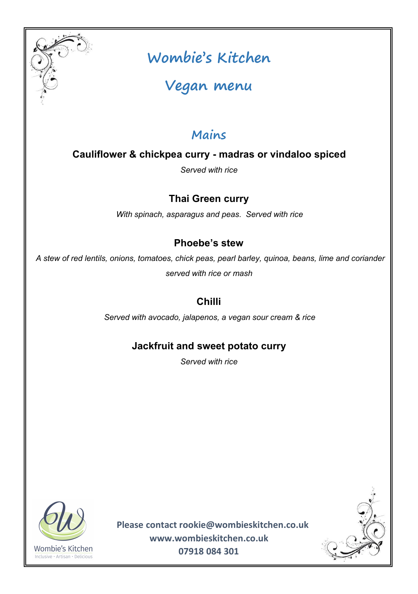

# **Wombie's Kitchen**

**Vegan menu**

## **Mains**

**Cauliflower & chickpea curry - madras or vindaloo spiced**

*Served with rice*

## **Thai Green curry**

*With spinach, asparagus and peas. Served with rice*

### **Phoebe's stew**

*A stew of red lentils, onions, tomatoes, chick peas, pearl barley, quinoa, beans, lime and coriander served with rice or mash*

## **Chilli**

*Served with avocado, jalapenos, a vegan sour cream & rice*

### **Jackfruit and sweet potato curry**

*Served with rice*



**Please contact [rookie@wombieskitchen.co.uk](mailto:rookie@wombieskitchen.co.uk) [www.wombieskitchen.co.uk](http://www.wombieskitchen.co.uk) 07918 084 301**